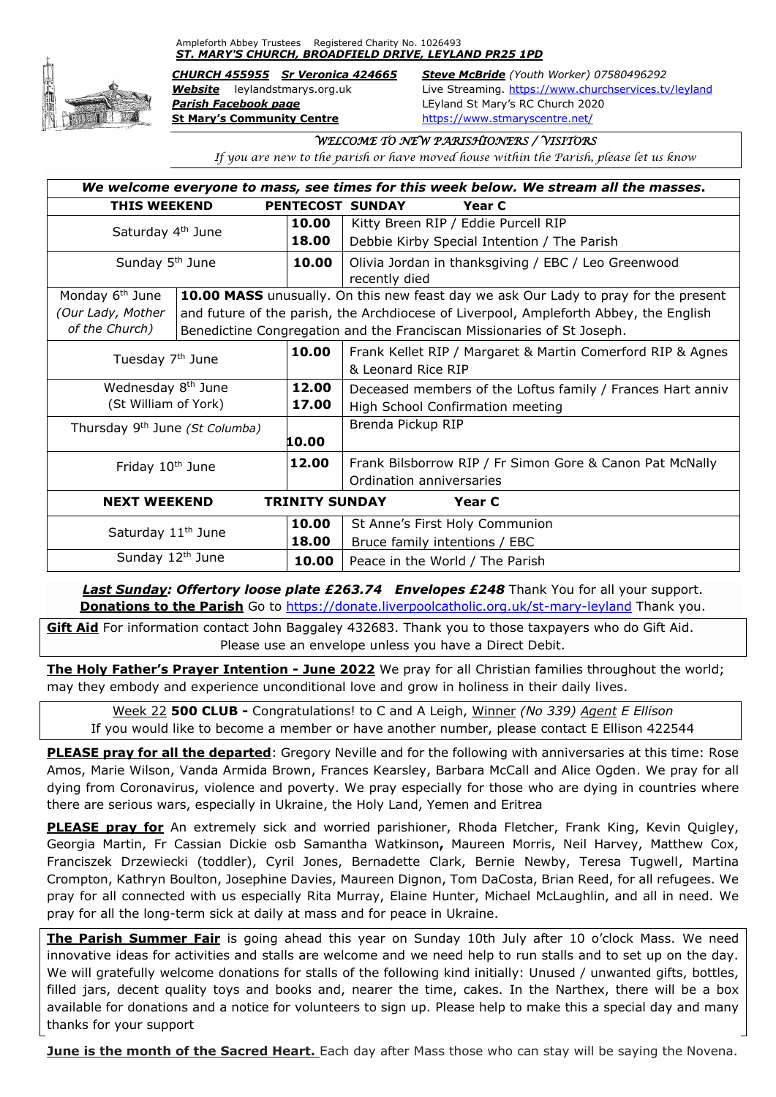Ampleforth Abbey Trustees Registered Charity No. 1026493 *ST. MARY'S CHURCH, BROADFIELD DRIVE, LEYLAND PR25 1PD*



*Parish Facebook page* LEyland St Mary's RC Church 2020 **St Mary's Community Centre** <https://www.stmaryscentre.net/>

*CHURCH 455955 Sr Veronica 424665 Steve McBride (Youth Worker) 07580496292 Website* leylandstmarys.org.uk Live Streaming.<https://www.churchservices.tv/leyland>

#### *WELCOME TO NEW PARISHIONERS / VISITORS*

*If you are new to the parish or have moved house within the Parish, please let us know*

| We welcome everyone to mass, see times for this week below. We stream all the masses. |                                                                                       |       |                                                            |  |  |  |
|---------------------------------------------------------------------------------------|---------------------------------------------------------------------------------------|-------|------------------------------------------------------------|--|--|--|
| <b>THIS WEEKEND</b><br>PENTECOST SUNDAY<br>Year C                                     |                                                                                       |       |                                                            |  |  |  |
| Saturday 4 <sup>th</sup> June                                                         |                                                                                       | 10.00 | Kitty Breen RIP / Eddie Purcell RIP                        |  |  |  |
|                                                                                       |                                                                                       | 18.00 | Debbie Kirby Special Intention / The Parish                |  |  |  |
| Sunday 5 <sup>th</sup> June                                                           |                                                                                       | 10.00 | Olivia Jordan in thanksgiving / EBC / Leo Greenwood        |  |  |  |
|                                                                                       |                                                                                       |       | recently died                                              |  |  |  |
| Monday 6 <sup>th</sup> June                                                           | 10.00 MASS unusually. On this new feast day we ask Our Lady to pray for the present   |       |                                                            |  |  |  |
| (Our Lady, Mother                                                                     | and future of the parish, the Archdiocese of Liverpool, Ampleforth Abbey, the English |       |                                                            |  |  |  |
| of the Church)                                                                        | Benedictine Congregation and the Franciscan Missionaries of St Joseph.                |       |                                                            |  |  |  |
| Tuesday 7 <sup>th</sup> June                                                          |                                                                                       | 10.00 | Frank Kellet RIP / Margaret & Martin Comerford RIP & Agnes |  |  |  |
|                                                                                       |                                                                                       |       | & Leonard Rice RIP                                         |  |  |  |
| Wednesday 8 <sup>th</sup> June                                                        |                                                                                       | 12.00 | Deceased members of the Loftus family / Frances Hart anniv |  |  |  |
| (St William of York)                                                                  |                                                                                       | 17.00 | High School Confirmation meeting                           |  |  |  |
| Thursday 9 <sup>th</sup> June (St Columba)                                            |                                                                                       |       | Brenda Pickup RIP                                          |  |  |  |
|                                                                                       |                                                                                       | 10.00 |                                                            |  |  |  |
| Friday 10 <sup>th</sup> June                                                          |                                                                                       | 12.00 | Frank Bilsborrow RIP / Fr Simon Gore & Canon Pat McNally   |  |  |  |
|                                                                                       |                                                                                       |       | Ordination anniversaries                                   |  |  |  |
| <b>TRINITY SUNDAY</b><br><b>NEXT WEEKEND</b><br>Year C                                |                                                                                       |       |                                                            |  |  |  |
| Saturday 11 <sup>th</sup> June                                                        |                                                                                       | 10.00 | St Anne's First Holy Communion                             |  |  |  |
|                                                                                       |                                                                                       | 18.00 | Bruce family intentions / EBC                              |  |  |  |
| Sunday 12th June                                                                      |                                                                                       | 10.00 | Peace in the World / The Parish                            |  |  |  |

**Last Sunday: Offertory loose plate £263.74 Envelopes £248** Thank You for all your support. **Donations to the Parish** Go to<https://donate.liverpoolcatholic.org.uk/st-mary-leyland> Thank you.

**Gift Aid** For information contact John Baggaley 432683. Thank you to those taxpayers who do Gift Aid. Please use an envelope unless you have a Direct Debit.

**The Holy Father's Prayer Intention - June 2022** We pray for all Christian families throughout the world; may they embody and experience unconditional love and grow in holiness in their daily lives.

Week 22 **500 CLUB -** Congratulations! to C and A Leigh, Winner *(No 339) Agent E Ellison* If you would like to become a member or have another number, please contact E Ellison 422544

**PLEASE pray for all the departed**: Gregory Neville and for the following with anniversaries at this time: Rose Amos, Marie Wilson, Vanda Armida Brown, Frances Kearsley, Barbara McCall and Alice Ogden. We pray for all dying from Coronavirus, violence and poverty. We pray especially for those who are dying in countries where there are serious wars, especially in Ukraine, the Holy Land, Yemen and Eritrea

**PLEASE pray for** An extremely sick and worried parishioner, Rhoda Fletcher, Frank King, Kevin Quigley, Georgia Martin, Fr Cassian Dickie osb Samantha Watkinson**,** Maureen Morris, Neil Harvey, Matthew Cox, Franciszek Drzewiecki (toddler), Cyril Jones, Bernadette Clark, Bernie Newby, Teresa Tugwell, Martina Crompton, Kathryn Boulton, Josephine Davies, Maureen Dignon, Tom DaCosta, Brian Reed, for all refugees. We pray for all connected with us especially Rita Murray, Elaine Hunter, Michael McLaughlin, and all in need. We pray for all the long-term sick at daily at mass and for peace in Ukraine.

**The Parish Summer Fair** is going ahead this year on Sunday 10th July after 10 o'clock Mass. We need innovative ideas for activities and stalls are welcome and we need help to run stalls and to set up on the day. We will gratefully welcome donations for stalls of the following kind initially: Unused / unwanted gifts, bottles, filled jars, decent quality toys and books and, nearer the time, cakes. In the Narthex, there will be a box available for donations and a notice for volunteers to sign up. Please help to make this a special day and many thanks for your support

**June is the month of the Sacred Heart.** Each day after Mass those who can stay will be saying the Novena.